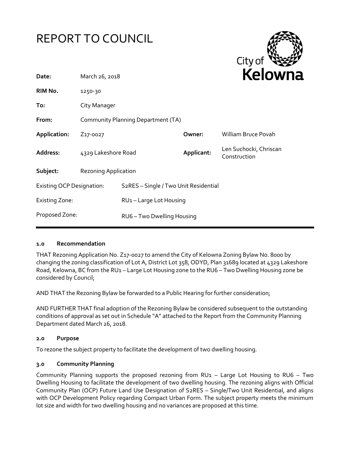



| Date:                            | March 26, 2018                     |                                                    | NEIUWI     |                                        |
|----------------------------------|------------------------------------|----------------------------------------------------|------------|----------------------------------------|
| RIM No.                          | 1250-30                            |                                                    |            |                                        |
| To:                              | City Manager                       |                                                    |            |                                        |
| From:                            | Community Planning Department (TA) |                                                    |            |                                        |
| Application:                     | Z <sub>17</sub> -0027              |                                                    | Owner:     | <b>William Bruce Povah</b>             |
| Address:                         | 4329 Lakeshore Road                |                                                    | Applicant: | Len Suchocki, Chriscan<br>Construction |
| Subject:                         | <b>Rezoning Application</b>        |                                                    |            |                                        |
| <b>Existing OCP Designation:</b> |                                    | S <sub>2</sub> RES - Single / Two Unit Residential |            |                                        |
| <b>Existing Zone:</b>            |                                    | RU1-Large Lot Housing                              |            |                                        |
| Proposed Zone:                   |                                    | RU6 - Two Dwelling Housing                         |            |                                        |
|                                  |                                    |                                                    |            |                                        |

#### **1.0 Recommendation**

THAT Rezoning Application No. Z17-0027 to amend the City of Kelowna Zoning Bylaw No. 8000 by changing the zoning classification of Lot A, District Lot 358, ODYD, Plan 31689 located at 4329 Lakeshore Road, Kelowna, BC from the RU1 – Large Lot Housing zone to the RU6 – Two Dwelling Housing zone be considered by Council;

AND THAT the Rezoning Bylaw be forwarded to a Public Hearing for further consideration;

AND FURTHER THAT final adoption of the Rezoning Bylaw be considered subsequent to the outstanding conditions of approval as set out in Schedule "A" attached to the Report from the Community Planning Department dated March 26, 2018.

#### **2.0 Purpose**

To rezone the subject property to facilitate the development of two dwelling housing.

#### **3.0 Community Planning**

Community Planning supports the proposed rezoning from RU1 – Large Lot Housing to RU6 – Two Dwelling Housing to facilitate the development of two dwelling housing. The rezoning aligns with Official Community Plan (OCP) Future Land Use Designation of S2RES – Single/Two Unit Residential, and aligns with OCP Development Policy regarding Compact Urban Form. The subject property meets the minimum lot size and width for two dwelling housing and no variances are proposed at this time.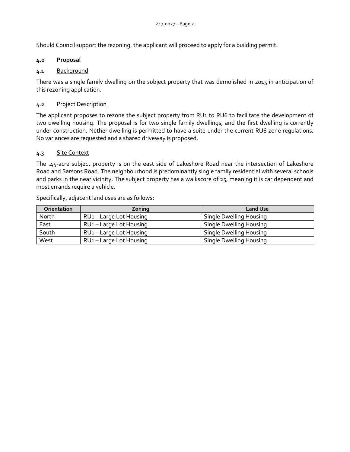Should Council support the rezoning, the applicant will proceed to apply for a building permit.

## **4.0 Proposal**

# 4.1 Background

There was a single family dwelling on the subject property that was demolished in 2015 in anticipation of this rezoning application.

## 4.2 Project Description

The applicant proposes to rezone the subject property from RU1 to RU6 to facilitate the development of two dwelling housing. The proposal is for two single family dwellings, and the first dwelling is currently under construction. Nether dwelling is permitted to have a suite under the current RU6 zone regulations. No variances are requested and a shared driveway is proposed.

# 4.3 Site Context

The .45-acre subject property is on the east side of Lakeshore Road near the intersection of Lakeshore Road and Sarsons Road. The neighbourhood is predominantly single family residential with several schools and parks in the near vicinity. The subject property has a walkscore of 25, meaning it is car dependent and most errands require a vehicle.

| <b>Orientation</b> | Zoning                              | <b>Land Use</b>         |
|--------------------|-------------------------------------|-------------------------|
| North              | RU <sub>1</sub> - Large Lot Housing | Single Dwelling Housing |
| East               | RU <sub>1</sub> - Large Lot Housing | Single Dwelling Housing |
| South              | RU <sub>1</sub> - Large Lot Housing | Single Dwelling Housing |
| West               | RU <sub>1</sub> - Large Lot Housing | Single Dwelling Housing |

Specifically, adjacent land uses are as follows: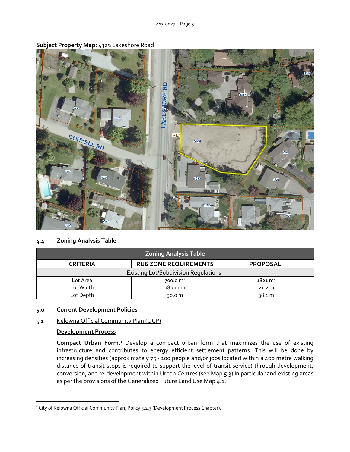

**Subject Property Map:** 4329 Lakeshore Road

# 4.4 **Zoning Analysis Table**

| <b>Zoning Analysis Table</b>                |                              |                    |  |  |  |
|---------------------------------------------|------------------------------|--------------------|--|--|--|
| <b>CRITERIA</b>                             | <b>RU6 ZONE REQUIREMENTS</b> | <b>PROPOSAL</b>    |  |  |  |
| <b>Existing Lot/Subdivision Regulations</b> |                              |                    |  |  |  |
| Lot Area                                    | 700.0 $m2$                   | $1821 \text{ m}^2$ |  |  |  |
| Lot Width                                   | 18.0m <sub>m</sub>           | 21.2 m             |  |  |  |
| Lot Depth                                   | 30.0 m                       | <u>38.1 m</u>      |  |  |  |

#### **5.0 Current Development Policies**

#### 5.1 Kelowna Official Community Plan (OCP)

#### **Development Process**

1

**Compact Urban Form.**<sup>1</sup> Develop a compact urban form that maximizes the use of existing infrastructure and contributes to energy efficient settlement patterns. This will be done by increasing densities (approximately 75 - 100 people and/or jobs located within a 400 metre walking distance of transit stops is required to support the level of transit service) through development, conversion, and re-development within Urban Centres (see Map 5.3) in particular and existing areas as per the provisions of the Generalized Future Land Use Map 4.1.

<sup>&</sup>lt;sup>1</sup> City of Kelowna Official Community Plan, Policy 5.2.3 (Development Process Chapter).